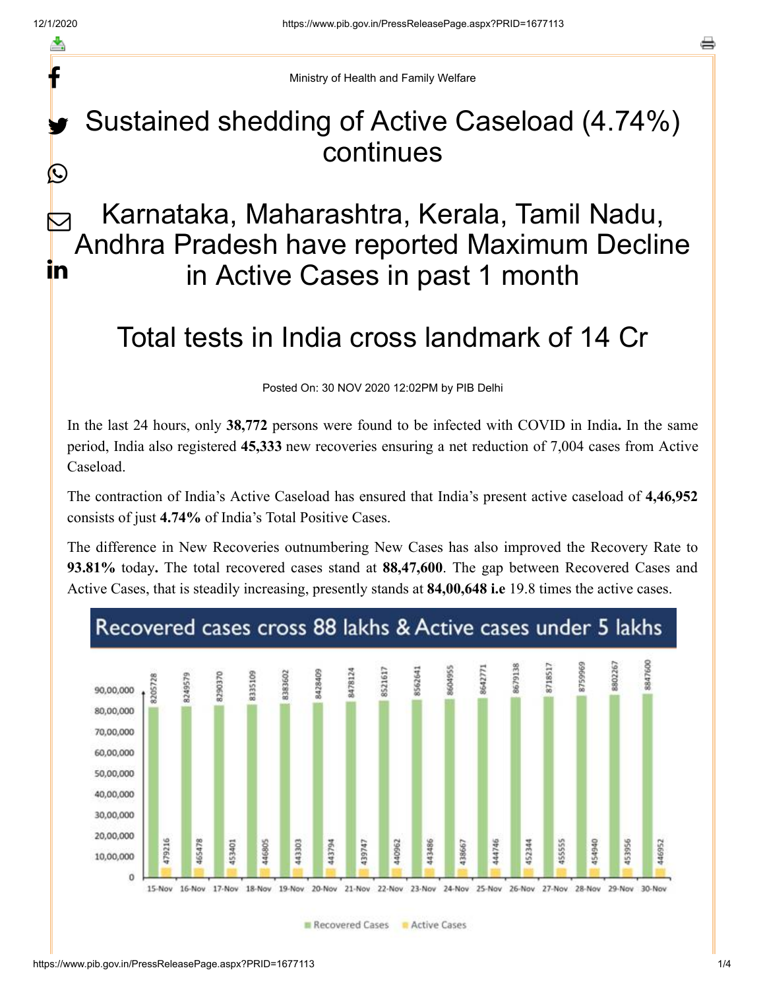f

 $\bigcirc$ 

o

Ministry of Health and Family Welfare

### Sustained shedding of Active Caseload (4.74%) continues y.

### Karnataka, Maharashtra, Kerala, Tamil Nadu, Andhra Pradesh have reported Maximum Decline in Active Cases in past 1 month  $\bm{\nabla}$ in

# Total tests in India cross landmark of 14 Cr

Posted On: 30 NOV 2020 12:02PM by PIB Delhi

In the last 24 hours, only **38,772** persons were found to be infected with COVID in India**.** In the same period, India also registered **45,333** new recoveries ensuring a net reduction of 7,004 cases from Active Caseload.

The contraction of India's Active Caseload has ensured that India's present active caseload of **4,46,952** consists of just **4.74%** of India's Total Positive Cases.

The difference in New Recoveries outnumbering New Cases has also improved the Recovery Rate to **93.81%** today**.** The total recovered cases stand at **88,47,600**. The gap between Recovered Cases and Active Cases, that is steadily increasing, presently stands at **84,00,648 i.e** 19.8 times the active cases.



Recovered Cases **R** Active Cases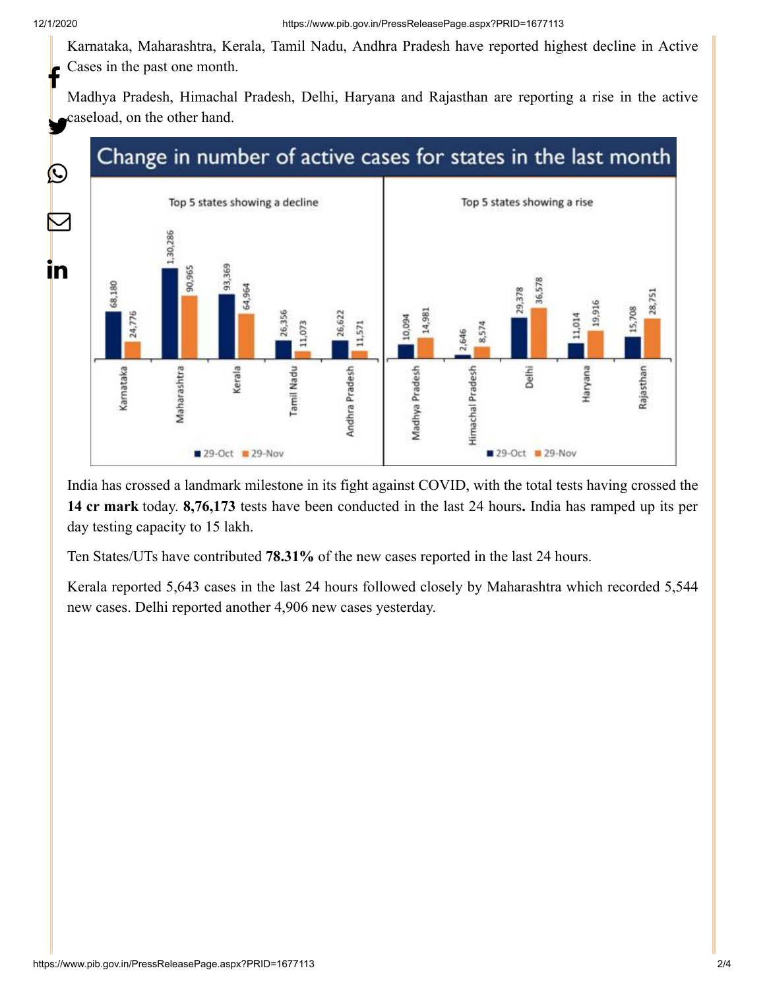Karnataka, Maharashtra, Kerala, Tamil Nadu, Andhra Pradesh have reported highest decline in Active Cases in the past one month. f

Madhya Pradesh, Himachal Pradesh, Delhi, Haryana and Rajasthan are reporting a rise in the active caseload, on the other hand.

## Change in number of active cases for states in the last month



India has crossed a landmark milestone in its fight against COVID, with the total tests having crossed the **14 cr mark** today. **8,76,173** tests have been conducted in the last 24 hours**.** India has ramped up its per day testing capacity to 15 lakh.

Ten States/UTs have contributed **78.31%** of the new cases reported in the last 24 hours.

Kerala reported 5,643 cases in the last 24 hours followed closely by Maharashtra which recorded 5,544 new cases. Delhi reported another 4,906 new cases yesterday.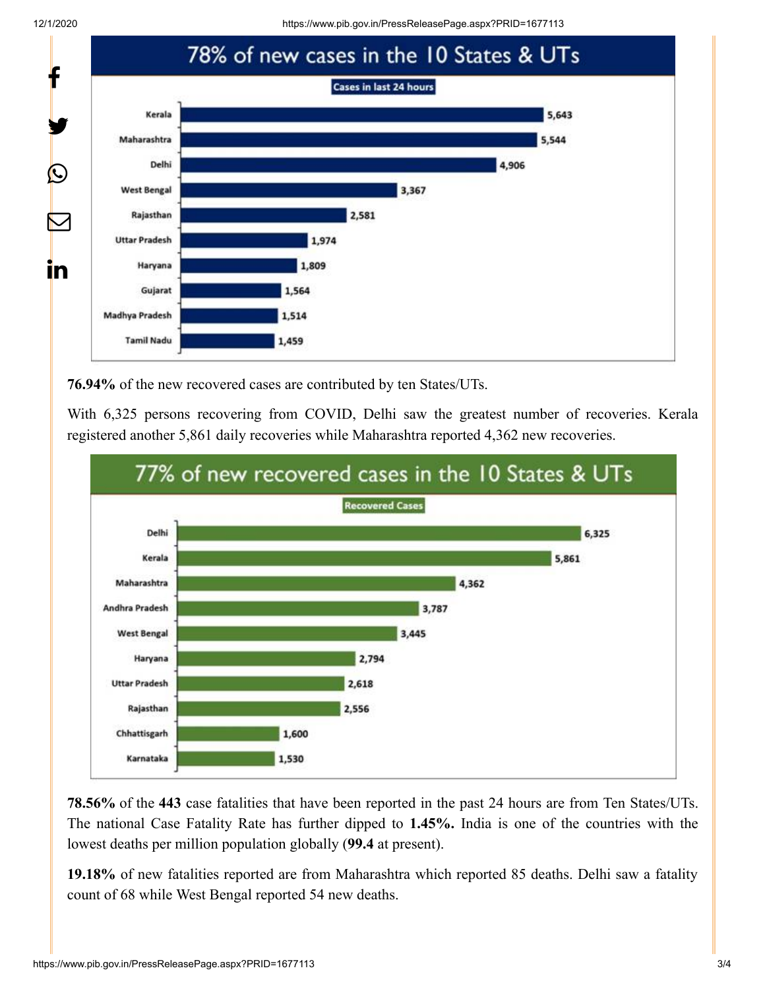12/1/2020 https://www.pib.gov.in/PressReleasePage.aspx?PRID=1677113



**76.94%** of the new recovered cases are contributed by ten States/UTs.

With 6,325 persons recovering from COVID, Delhi saw the greatest number of recoveries. Kerala registered another 5,861 daily recoveries while Maharashtra reported 4,362 new recoveries.



**78.56%** of the **443** case fatalities that have been reported in the past 24 hours are from Ten States/UTs. The national Case Fatality Rate has further dipped to **1.45%.** India is one of the countries with the lowest deaths per million population globally (**99.4** at present).

**19.18%** of new fatalities reported are from Maharashtra which reported 85 deaths. Delhi saw a fatality count of 68 while West Bengal reported 54 new deaths.